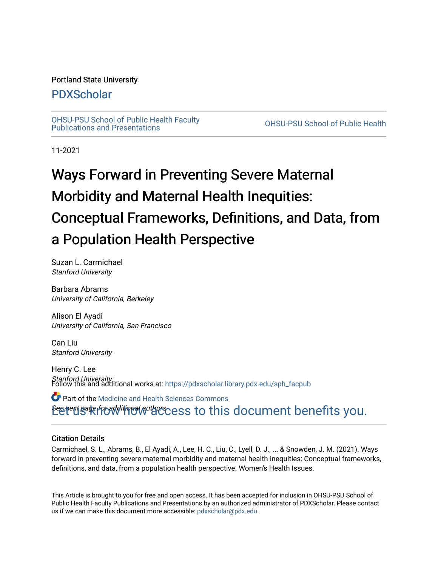### Portland State University

### [PDXScholar](https://pdxscholar.library.pdx.edu/)

[OHSU-PSU School of Public Health Faculty](https://pdxscholar.library.pdx.edu/sph_facpub) [Publications and Presentations](https://pdxscholar.library.pdx.edu/sph_facpub) [OHSU-PSU School of Public Health](https://pdxscholar.library.pdx.edu/sph) 

11-2021

# Ways Forward in Preventing Severe Maternal Morbidity and Maternal Health Inequities: Conceptual Frameworks, Definitions, and Data, from a Population Health Perspective

Suzan L. Carmichael Stanford University

Barbara Abrams University of California, Berkeley

Alison El Ayadi University of California, San Francisco

Can Liu Stanford University

Henry C. Lee **Stanford University.**<br>Follow this and additional works at: https://pdxscholar.library.pdx.edu/sph\_facpub-

Betert Bate from the correct set of this document benefits you. Part of the [Medicine and Health Sciences Commons](https://network.bepress.com/hgg/discipline/648?utm_source=pdxscholar.library.pdx.edu%2Fsph_facpub%2F478&utm_medium=PDF&utm_campaign=PDFCoverPages) 

### Citation Details

Carmichael, S. L., Abrams, B., El Ayadi, A., Lee, H. C., Liu, C., Lyell, D. J., ... & Snowden, J. M. (2021). Ways forward in preventing severe maternal morbidity and maternal health inequities: Conceptual frameworks, definitions, and data, from a population health perspective. Women's Health Issues.

This Article is brought to you for free and open access. It has been accepted for inclusion in OHSU-PSU School of Public Health Faculty Publications and Presentations by an authorized administrator of PDXScholar. Please contact us if we can make this document more accessible: [pdxscholar@pdx.edu.](mailto:pdxscholar@pdx.edu)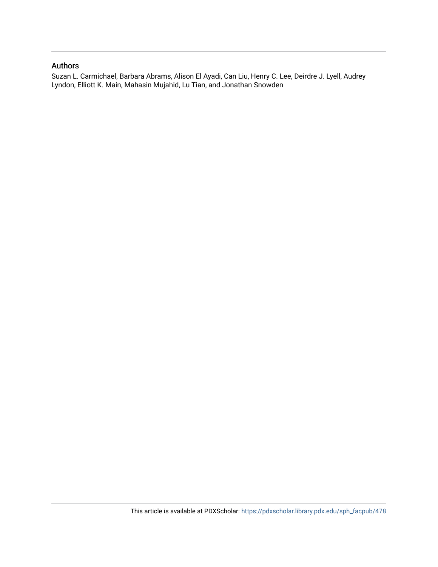### Authors

Suzan L. Carmichael, Barbara Abrams, Alison El Ayadi, Can Liu, Henry C. Lee, Deirdre J. Lyell, Audrey Lyndon, Elliott K. Main, Mahasin Mujahid, Lu Tian, and Jonathan Snowden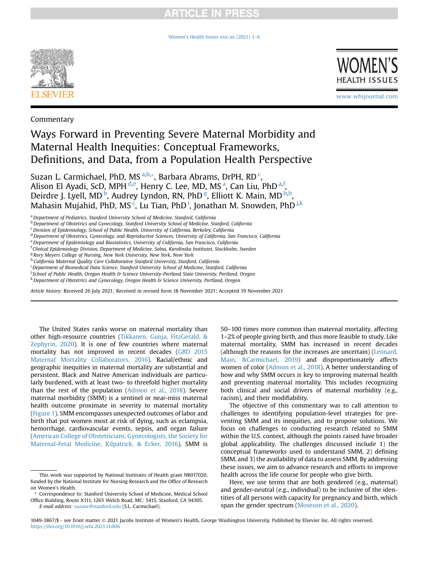### **RTICLE IN PRESS**

[Women's Health Issues xxx-xx \(2021\) 1](https://doi.org/10.1016/j.whi.2021.11.006)–6





www.whijournal.com

Commentary

### Ways Forward in Preventing Severe Maternal Morbidity and Maternal Health Inequities: Conceptual Frameworks, Definitions, and Data, from a Population Health Perspective

Suzan L. Carmichael, PhD, MS <sup>[a,](#page-2-0)[b](#page-2-1),</sup>[\\*](#page-2-2), Barbara Abrams, DrPH, RD <sup>[c](#page-2-3)</sup>, Alison El Ayadi, ScD, MPH <sup>[d,](#page-2-4)[e](#page-2-5)</sup>, Henry C. Lee, MD, MS <sup>[a](#page-2-0)</sup>, Can Liu, PhD <sup>[a,](#page-2-0)[f](#page-2-6)</sup>, Deirdre J. Lyell, MD<sup>[b](#page-2-1)</sup>, Audrey Lyndon, RN, PhD<sup>[g](#page-2-7)</sup>, Elliott K. Main, MD<sup>[b,](#page-2-1)[h](#page-2-8)</sup>, Mahas[i](#page-2-9)n Mu[j](#page-2-10)ahid, PhD, MS $^{\tilde{\text{c}}}$  $^{\tilde{\text{c}}}$  $^{\tilde{\text{c}}}$ , Lu Tian, PhD $^{\text{i}}$ , Jonathan M. Snowden, PhD $^{\text{j},\text{k}}$ 

- <span id="page-2-3"></span> $c$ Division of Epidemiology, School of Public Health, University of California, Berkeley, California
- <span id="page-2-4"></span><sup>d</sup> Department of Obstetrics, Gynecology, and Reproductive Sciences, University of California, San Francisco, California
- <span id="page-2-5"></span><sup>e</sup> Department of Epidemiology and Biostatistics, University of California, San Francisco, California
- <span id="page-2-6"></span><sup>f</sup> Clinical Epidemiology Division, Department of Medicine, Solna, Karolinska Institutet, Stockholm, Sweden
- <span id="page-2-7"></span><sup>g</sup> Rory Meyers College of Nursing, New York University, New York, New York
- <span id="page-2-8"></span>h California Maternal Quality Care Collaborative Stanford University, Stanford, California
- <span id="page-2-9"></span><sup>i</sup> Department of Biomedical Data Science, Stanford University School of Medicine, Stanford, California
- <span id="page-2-10"></span>j School of Public Health, Oregon Health & Science University-Portland State University, Portland, Oregon
- <span id="page-2-11"></span>k Department of Obstetrics and Gynecology, Oregon Health & Science University, Portland, Oregon

Article history: Received 26 July 2021; Received in revised form 18 November 2021; Accepted 19 November 2021

The United States ranks worse on maternal mortality than other high-resource countries ([Tikkanen, Gunja, FitzGerald, &](#page-7-0) [Zephyrin, 2020](#page-7-0)). It is one of few countries where maternal mortality has not improved in recent decades [\(GBD 2015](#page-6-0) [Maternal Mortality Collaborators, 2016\)](#page-6-0). Racial/ethnic and geographic inequities in maternal mortality are substantial and persistent. Black and Native American individuals are particularly burdened, with at least two- to threefold higher mortality than the rest of the population ([Admon et al., 2018\)](#page-6-1). Severe maternal morbidity (SMM) is a sentinel or near-miss maternal health outcome proximate in severity to maternal mortality ([Figure 1](#page-3-0)). SMM encompasses unexpected outcomes of labor and birth that put women most at risk of dying, such as eclampsia, hemorrhage, cardiovascular events, sepsis, and organ failure ([American College of Obstetricians, Gynecologists, the Society for](#page-6-2) [Maternal-Fetal Medicine, Kilpatrick, & Ecker, 2016](#page-6-2)). SMM is

50–100 times more common than maternal mortality, affecting 1–2% of people giving birth, and thus more feasible to study. Like maternal mortality, SMM has increased in recent decades (although the reasons for the increases are uncertain) ([Leonard,](#page-7-1) [Main, &Carmichael, 2019](#page-7-1)) and disproportionately affects women of color ([Admon et al., 2018\)](#page-6-1). A better understanding of how and why SMM occurs is key to improving maternal health and preventing maternal mortality. This includes recognizing both clinical and social drivers of maternal morbidity (e.g., racism), and their modifiability.

The objective of this commentary was to call attention to challenges to identifying population-level strategies for preventing SMM and its inequities, and to propose solutions. We focus on challenges to conducting research related to SMM within the U.S. context, although the points raised have broader global applicability. The challenges discussed include 1) the conceptual frameworks used to understand SMM, 2) defining SMM, and 3) the availability of data to assess SMM. By addressing these issues, we aim to advance research and efforts to improve health across the life course for people who give birth.

Here, we use terms that are both gendered (e.g., maternal) and gender-neutral (e.g., individual) to be inclusive of the identities of all persons with capacity for pregnancy and birth, which span the gender spectrum [\(Moseson et al., 2020](#page-7-2)).

<span id="page-2-0"></span><sup>&</sup>lt;sup>a</sup> Department of Pediatrics, Stanford University School of Medicine, Stanford, California

<span id="page-2-1"></span><sup>&</sup>lt;sup>b</sup> Department of Obstetrics and Gynecology, Stanford University School of Medicine, Stanford, California

This work was supported by National Institutes of Health grant NR017020, funded by the National Institute for Nursing Research and the Office of Research on Women's Health.

<span id="page-2-2"></span>Correspondence to: Stanford University School of Medicine, Medical School Office Building, Room X111, 1265 Welch Road, MC: 5415, Stanford, CA 94305. E-mail address: [suzanc@stanford.edu](mailto:suzanc@stanford.edu) (S.L. Carmichael).

<sup>1049-3867/\$ -</sup> see front matter 2021 Jacobs Institute of Women's Health, George Washington University. Published by Elsevier Inc. All rights reserved. <https://doi.org/10.1016/j.whi.2021.11.006>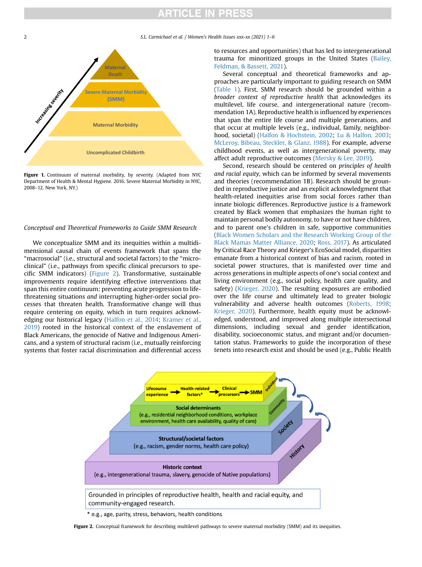### **RTICLE IN PRESS**

<span id="page-3-0"></span>2 S.L. Carmichael et al. / Women's Health Issues xxx-xx (2021) 1–6



Figure 1. Continuum of maternal morbidity, by severity. (Adapted from NYC Department of Health & Mental Hygiene. 2016. Severe Maternal Morbidity in NYC, 2008–12. New York, NY.)

#### Conceptual and Theoretical Frameworks to Guide SMM Research

We conceptualize SMM and its inequities within a multidimensional causal chain of events framework that spans the "macrosocial" (i.e., structural and societal factors) to the "microclinical" (i.e., pathways from specific clinical precursors to specific SMM indicators) ([Figure 2\)](#page-3-1). Transformative, sustainable improvements require identifying effective interventions that span this entire continuum: preventing acute progression to lifethreatening situations and interrupting higher-order social processes that threaten health. Transformative change will thus require centering on equity, which in turn requires acknowledging our historical legacy ([Halfon et al., 2014](#page-7-3); [Kramer et al.,](#page-7-4) [2019](#page-7-4)) rooted in the historical context of the enslavement of Black Americans, the genocide of Native and Indigenous Americans, and a system of structural racism (i.e., mutually reinforcing systems that foster racial discrimination and differential access to resources and opportunities) that has led to intergenerational trauma for minoritized groups in the United States ([Bailey,](#page-6-3) [Feldman, & Bassett, 2021](#page-6-3)).

Several conceptual and theoretical frameworks and approaches are particularly important to guiding research on SMM [\(Table 1](#page-4-0)). First, SMM research should be grounded within a broader context of reproductive health that acknowledges its multilevel, life course, and intergenerational nature (recommendation 1A). Reproductive health is influenced by experiences that span the entire life course and multiple generations, and that occur at multiple levels (e.g., individual, family, neighborhood, societal) ([Halfon & Hochstein, 2002](#page-7-5); [Lu & Halfon, 2003](#page-7-6); [McLeroy, Bibeau, Steckler, & Glanz, 1988\)](#page-7-7). For example, adverse childhood events, as well as intergenerational poverty, may affect adult reproductive outcomes ([Mersky & Lee, 2019\)](#page-7-8).

Second, research should be centered on principles of health and racial equity, which can be informed by several movements and theories (recommendation 1B). Research should be grounded in reproductive justice and an explicit acknowledgment that health-related inequities arise from social forces rather than innate biologic differences. Reproductive justice is a framework created by Black women that emphasizes the human right to maintain personal bodily autonomy, to have or not have children, and to parent one's children in safe, supportive communities [\(Black Women Scholars and the Research Working Group of the](#page-6-4) [Black Mamas Matter Alliance, 2020](#page-6-4); [Ross, 2017\)](#page-7-9). As articulated by Critical Race Theory and Krieger's EcoSocial model, disparities emanate from a historical context of bias and racism, rooted in societal power structures, that is manifested over time and across generations in multiple aspects of one's social context and living environment (e.g., social policy, health care quality, and safety) ([Krieger, 2020](#page-7-10)). The resulting exposures are embodied over the life course and ultimately lead to greater biologic vulnerability and adverse health outcomes [\(Roberts, 1998](#page-7-11); [Krieger, 2020](#page-7-10)). Furthermore, health equity must be acknowledged, understood, and improved along multiple intersectional dimensions, including sexual and gender identification, disability, socioeconomic status, and migrant and/or documentation status. Frameworks to guide the incorporation of these tenets into research exist and should be used (e.g., Public Health

<span id="page-3-1"></span>

\* e.g., age, parity, stress, behaviors, health conditions

Figure 2. Conceptual framework for describing multilevel pathways to severe maternal morbidity (SMM) and its inequities.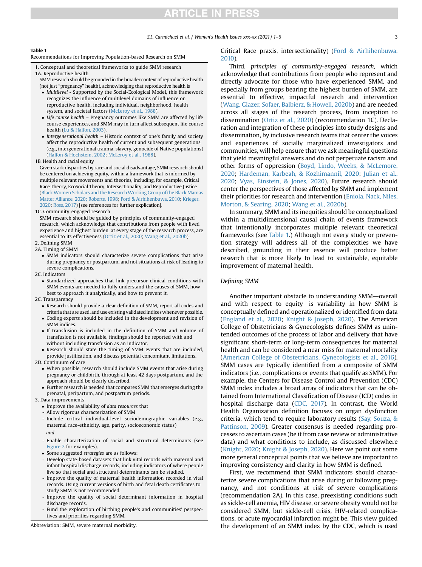## **ARTICLE IN PRESS**

#### <span id="page-4-0"></span>Table 1

Recommendations for Improving Population-based Research on SMM

- 1. Conceptual and theoretical frameworks to guide SMM research 1A. Reproductive health
- SMM research should be grounded in the broader context of reproductive health (not just "pregnancy" health), acknowledging that reproductive health is
- Multilevel Supported by the Social-Ecological Model, this framework recognizes the influence of multilevel domains of influence on reproductive health, including individual, neighborhood, health system, and societal factors [\(McLeroy et al., 1988\)](#page-7-7).
- Life course health Pregnancy outcomes like SMM are affected by life course experiences, and SMM may in turn affect subsequent life course health [\(Lu & Halfon, 2003\)](#page-7-6).
- $\bullet$  Intergenerational health Historic context of one's family and society affect the reproductive health of current and subsequent generations (e.g., intergenerational trauma, slavery, genocide of Native populations) [\(Halfon & Hochstein, 2002;](#page-7-5) [McLeroy et al., 1988](#page-7-7)).

#### 1B. Health and racial equity

Given stark disparities by race and social disadvantage, SMM research should be centered on achieving equity, within a framework that is informed by multiple relevant movements and theories, including, for example, Critical Race Theory, EcoSocial Theory, Intersectionality, and Reproductive Justice (Black Women Scholars and the Research Working Group of the Black Mamas [Matter Alliance, 2020; Roberts, 1998](#page-6-4); [Ford & Airhihenbuwa, 2010;](#page-6-5) [Krieger,](#page-7-10) [2020;](#page-7-10) [Ross, 2017\)](#page-7-9) [see references for further explication].

#### 1C. Community-engaged research

SMM research should be guided by principles of community-engaged research, which acknowledge that contributions from people with lived experience and highest burden, at every stage of the research process, are essential to its effectiveness [\(Ortiz et al., 2020;](#page-7-13) [Wang et al., 2020b\)](#page-7-12).

- 2. Defining SMM
- 2A. Timing of SMM
	- SMM indicators should characterize severe complications that arise during pregnancy or postpartum, and not situations at risk of leading to severe complications.
- 2C. Indicators
	- Standardized approaches that link precursor clinical conditions with SMM events are needed to fully understand the causes of SMM, how best to approach it analytically, and how to prevent it.
- 2C. Transparency
	- Research should provide a clear definition of SMM, report all codes and criteria that are used, and use existing validatedindiceswhenever possible.
	- Coding experts should be included in the development and revision of SMM indices.
	- If transfusion is included in the definition of SMM and volume of transfusion is not available, findings should be reported with and without including transfusion as an indicator.
	- Research should state the timing of SMM events that are included, provide justification, and discuss potential concomitant limitations.

#### 2D. Continuum of care

- When possible, research should include SMM events that arise during pregnancy or childbirth, through at least 42 days postpartum, and the approach should be clearly described.
- Further research is needed that compares SMM that emerges during the prenatal, peripartum, and postpartum periods.

#### 3. Data improvements

- Improve the availability of data resources that
- Allow rigorous characterization of SMM
- Include critical individual-level sociodemographic variables (e.g., maternal race-ethnicity, age, parity, socioeconomic status) and
- Enable characterization of social and structural determinants (see [Figure 2](#page-3-1) for examples).
- Some suggested strategies are as follows:
- Develop state-based datasets that link vital records with maternal and infant hospital discharge records, including indicators of where people live so that social and structural determinants can be studied.
- Improve the quality of maternal health information recorded in vital records. Using current versions of birth and fetal death certificates to study SMM is not recommended.
- Improve the quality of social determinant information in hospital discharge records.
- Fund the exploration of birthing people's and communities' perspectives and priorities regarding SMM.

Abbreviation: SMM, severe maternal morbidity.

Critical Race praxis, intersectionality) ([Ford & Airhihenbuwa,](#page-6-5) [2010\)](#page-6-5).

Third, principles of community-engaged research, which acknowledge that contributions from people who represent and directly advocate for those who have experienced SMM, and especially from groups bearing the highest burden of SMM, are essential to effective, impactful research and intervention [\(Wang, Glazer, Sofaer, Balbierz, & Howell, 2020b\)](#page-7-12) and are needed across all stages of the research process, from inception to dissemination ([Ortiz et al., 2020\)](#page-7-13) (recommendation 1C). Declaration and integration of these principles into study designs and dissemination, by inclusive research teams that center the voices and experiences of socially marginalized investigators and communities, will help ensure that we ask meaningful questions that yield meaningful answers and do not perpetuate racism and other forms of oppression [\(Boyd, Lindo, Weeks, & McLemore,](#page-6-6) [2020](#page-6-6); [Hardeman, Karbeah, & Kozhimannil, 2020](#page-7-14); [Julian et al.,](#page-7-15) [2020](#page-7-15); [Vyas, Einstein, & Jones, 2020](#page-7-16)). Future research should center the perspectives of those affected by SMM and implement their priorities for research and intervention ([Eniola, Nack, Niles,](#page-6-7) [Morton, & Searing, 2020;](#page-6-7) [Wang et al., 2020b\)](#page-7-12).

In summary, SMM and its inequities should be conceptualized within a multidimensional causal chain of events framework that intentionally incorporates multiple relevant theoretical frameworks (see [Table 1.](#page-4-0)) Although not every study or prevention strategy will address all of the complexities we have described, grounding in their essence will produce better research that is more likely to lead to sustainable, equitable improvement of maternal health.

#### Defining SMM

Another important obstacle to understanding SMM-overall and with respect to equity-is variability in how SMM is conceptually defined and operationalized or identified from data [\(England et al., 2020](#page-6-8); [Knight & Joseph, 2020\)](#page-7-17). The American College of Obstetricians & Gynecologists defines SMM as unintended outcomes of the process of labor and delivery that have significant short-term or long-term consequences for maternal health and can be considered a near miss for maternal mortality [\(American College of Obstetricians, Gynecologists et al., 2016](#page-6-2)). SMM cases are typically identified from a composite of SMM indicators (i.e., complications or events that qualify as SMM). For example, the Centers for Disease Control and Prevention (CDC) SMM index includes a broad array of indicators that can be obtained from International Classification of Disease (ICD) codes in hospital discharge data [\(CDC, 2017](#page-6-9)). In contrast, the World Health Organization definition focuses on organ dysfunction criteria, which tend to require laboratory results [\(Say, Souza, &](#page-7-18) [Pattinson, 2009\)](#page-7-18). Greater consensus is needed regarding processes to ascertain cases (be it from case review or administrative data) and what conditions to include, as discussed elsewhere [\(Knight, 2020](#page-7-19); [Knight & Joseph, 2020](#page-7-17)). Here we point out some more general conceptual points that we believe are important to improving consistency and clarity in how SMM is defined.

First, we recommend that SMM indicators should characterize severe complications that arise during or following pregnancy, and not conditions at risk of severe complications (recommendation 2A). In this case, preexisting conditions such as sickle-cell anemia, HIV disease, or severe obesity would not be considered SMM, but sickle-cell crisis, HIV-related complications, or acute myocardial infarction might be. This view guided the development of an SMM index by the CDC, which is used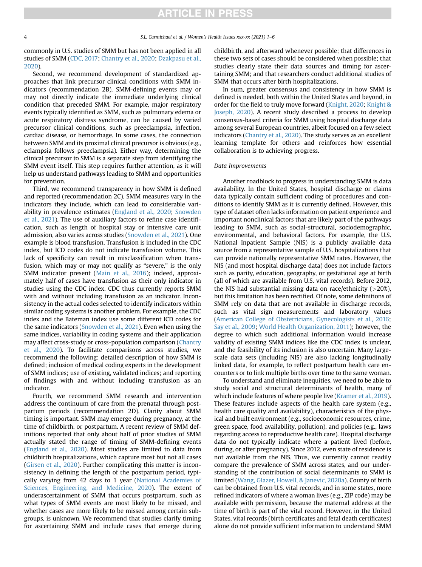commonly in U.S. studies of SMM but has not been applied in all studies of SMM ([CDC, 2017;](#page-6-9) [Chantry et al., 2020](#page-6-10); [Dzakpasu et al.,](#page-6-11) [2020\)](#page-6-11).

Second, we recommend development of standardized approaches that link precursor clinical conditions with SMM indicators (recommendation 2B). SMM-defining events may or may not directly indicate the immediate underlying clinical condition that preceded SMM. For example, major respiratory events typically identified as SMM, such as pulmonary edema or acute respiratory distress syndrome, can be caused by varied precursor clinical conditions, such as preeclampsia, infection, cardiac disease, or hemorrhage. In some cases, the connection between SMM and its proximal clinical precursor is obvious (e.g., eclampsia follows preeclampsia). Either way, determining the clinical precursor to SMM is a separate step from identifying the SMM event itself. This step requires further attention, as it will help us understand pathways leading to SMM and opportunities for prevention.

Third, we recommend transparency in how SMM is defined and reported (recommendation 2C). SMM measures vary in the indicators they include, which can lead to considerable variability in prevalence estimates [\(England et al., 2020](#page-6-8); [Snowden](#page-7-20) [et al., 2021](#page-7-20)). The use of auxiliary factors to refine case identification, such as length of hospital stay or intensive care unit admission, also varies across studies [\(Snowden et al., 2021](#page-7-20)). One example is blood transfusion. Transfusion is included in the CDC index, but ICD codes do not indicate transfusion volume. This lack of specificity can result in misclassification when transfusion, which may or may not qualify as "severe," is the only SMM indicator present [\(Main et al., 2016\)](#page-7-21); indeed, approximately half of cases have transfusion as their only indicator in studies using the CDC index. CDC thus currently reports SMM with and without including transfusion as an indicator. Inconsistency in the actual codes selected to identify indicators within similar coding systems is another problem. For example, the CDC index and the Bateman index use some different ICD codes for the same indicators ([Snowden et al., 2021](#page-7-20)). Even when using the same indices, variability in coding systems and their application may affect cross-study or cross-population comparison ([Chantry](#page-6-10) [et al., 2020](#page-6-10)). To facilitate comparisons across studies, we recommend the following: detailed description of how SMM is defined; inclusion of medical coding experts in the development of SMM indices; use of existing, validated indices; and reporting of findings with and without including transfusion as an indicator.

Fourth, we recommend SMM research and intervention address the continuum of care from the prenatal through postpartum periods (recommendation 2D). Clarity about SMM timing is important. SMM may emerge during pregnancy, at the time of childbirth, or postpartum. A recent review of SMM definitions reported that only about half of prior studies of SMM actually stated the range of timing of SMM-defining events ([England et al., 2020](#page-6-8)). Most studies are limited to data from childbirth hospitalizations, which capture most but not all cases ([Girsen et al., 2020\)](#page-6-12). Further complicating this matter is inconsistency in defining the length of the postpartum period, typically varying from 42 days to 1 year ([National Academies of](#page-7-22) [Sciences, Engineering, and Medicine, 2020](#page-7-22)). The extent of underascertainment of SMM that occurs postpartum, such as what types of SMM events are most likely to be missed, and whether cases are more likely to be missed among certain subgroups, is unknown. We recommend that studies clarify timing for ascertaining SMM and include cases that emerge during childbirth, and afterward whenever possible; that differences in these two sets of cases should be considered when possible; that studies clearly state their data sources and timing for ascertaining SMM; and that researchers conduct additional studies of SMM that occurs after birth hospitalizations.

In sum, greater consensus and consistency in how SMM is defined is needed, both within the United States and beyond, in order for the field to truly move forward [\(Knight, 2020](#page-7-19); [Knight &](#page-7-17) [Joseph, 2020](#page-7-17)). A recent study described a process to develop consensus-based criteria for SMM using hospital discharge data among several European countries, albeit focused on a few select indicators ([Chantry et al., 2020\)](#page-6-10). The study serves as an excellent learning template for others and reinforces how essential collaboration is to achieving progress.

### Data Improvements

Another roadblock to progress in understanding SMM is data availability. In the United States, hospital discharge or claims data typically contain sufficient coding of procedures and conditions to identify SMM as it is currently defined. However, this type of dataset often lacks information on patient experience and important nonclinical factors that are likely part of the pathways leading to SMM, such as social-structural, sociodemographic, environmental, and behavioral factors. For example, the U.S. National Inpatient Sample (NIS) is a publicly available data source from a representative sample of U.S. hospitalizations that can provide nationally representative SMM rates. However, the NIS (and most hospital discharge data) does not include factors such as parity, education, geography, or gestational age at birth (all of which are available from U.S. vital records). Before 2012, the NIS had substantial missing data on race/ethnicity  $($  >20%), but this limitation has been rectified. Of note, some definitions of SMM rely on data that are not available in discharge records, such as vital sign measurements and laboratory values [\(American College of Obstetricians, Gynecologists et al., 2016](#page-6-2); [Say et al., 2009;](#page-7-18) [World Health Organization, 2011](#page-7-23)); however, the degree to which such additional information would increase validity of existing SMM indices like the CDC index is unclear, and the feasibility of its inclusion is also uncertain. Many largescale data sets (including NIS) are also lacking longitudinally linked data, for example, to reflect postpartum health care encounters or to link multiple births over time to the same woman.

To understand and eliminate inequities, we need to be able to study social and structural determinants of health, many of which include features of where people live ([Kramer et al., 2019](#page-7-4)). These features include aspects of the health care system (e.g., health care quality and availability), characteristics of the physical and built environment (e.g., socioeconomic resources, crime, green space, food availability, pollution), and policies (e.g., laws regarding access to reproductive health care). Hospital discharge data do not typically indicate where a patient lived (before, during, or after pregnancy). Since 2012, even state of residence is not available from the NIS. Thus, we currently cannot readily compare the prevalence of SMM across states, and our understanding of the contribution of social determinants to SMM is limited ([Wang, Glazer, Howell, & Janevic, 2020a](#page-7-24)). County of birth can be obtained from U.S. vital records, and in some states, more refined indicators of where a woman lives (e.g., ZIP code) may be available with permission, because the maternal address at the time of birth is part of the vital record. However, in the United States, vital records (birth certificates and fetal death certificates) alone do not provide sufficient information to understand SMM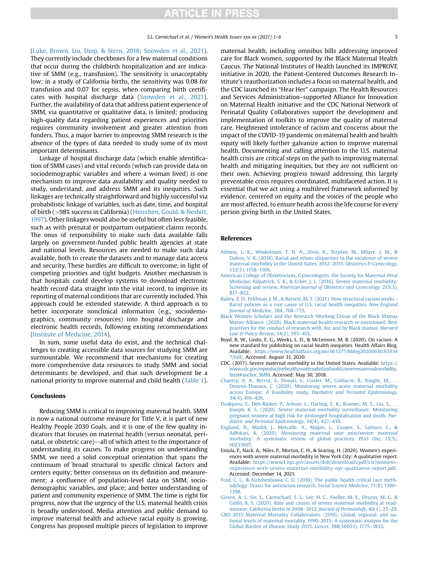([Luke, Brown, Liu, Diop, & Stern, 2018](#page-7-25); [Snowden et al., 2021\)](#page-7-20). They currently include checkboxes for a few maternal conditions that occur during the childbirth hospitalization and are indicative of SMM (e.g., transfusion). The sensitivity is unacceptably low; in a study of California births, the sensitivity was 0.08 for transfusion and 0.07 for sepsis, when comparing birth certificates with hospital discharge data ([Snowden et al., 2021\)](#page-7-20). Further, the availability of data that address patient experience of SMM, via quantitative or qualitative data, is limited; producing high-quality data regarding patient experiences and priorities requires community involvement and greater attention from funders. Thus, a major barrier to improving SMM research is the absence of the types of data needed to study some of its most important determinants.

Linkage of hospital discharge data (which enable identification of SMM cases) and vital records (which can provide data on sociodemographic variables and where a woman lived) is one mechanism to improve data availability and quality needed to study, understand, and address SMM and its inequities. Such linkages are technically straightforward and highly successful via probabilistic linkage of variables, such as date, time, and hospital of birth (>98% success in California) [\(Herrchen, Gould, & Nesbitt,](#page-7-26) [1997](#page-7-26)). Other linkages would also be useful but often less feasible, such as with prenatal or postpartum outpatient claims records. The onus of responsibility to make such data available falls largely on government-funded public health agencies at state and national levels. Resources are needed to make such data available, both to create the datasets and to manage data access and security. These hurdles are difficult to overcome, in light of competing priorities and tight budgets. Another mechanism is that hospitals could develop systems to download electronic health record data straight into the vital record, to improve its reporting of maternal conditions that are currently included. This approach could be extended statewide. A third approach is to better incorporate nonclinical information (e.g., sociodemographics, community resources) into hospital discharge and electronic health records, following existing recommendations ([Institute of Medicine, 2014](#page-7-27)).

In sum, some useful data do exist, and the technical challenges to creating accessible data sources for studying SMM are surmountable. We recommend that mechanisms for creating more comprehensive data resources to study SMM and social determinants be developed, and that such development be a national priority to improve maternal and child health ([Table 1\)](#page-4-0).

#### Conclusions

Reducing SMM is critical to improving maternal health. SMM is now a national outcome measure for Title V, it is part of new Healthy People 2030 Goals, and it is one of the few quality indicators that focuses on maternal health (versus neonatal, perinatal, or obstetric care)—all of which attest to the importance of understanding its causes. To make progress on understanding SMM, we need a solid conceptual orientation that spans the continuum of broad structural to specific clinical factors and centers equity; better consensus on its definition and measurement; a confluence of population-level data on SMM, sociodemographic variables, and place; and better understanding of patient and community experience of SMM. The time is right for progress, now that the urgency of the U.S. maternal health crisis is broadly understood. Media attention and public demand to improve maternal health and achieve racial equity is growing. Congress has proposed multiple pieces of legislation to improve

maternal health, including omnibus bills addressing improved care for Black women, supported by the Black Maternal Health Caucus. The National Institutes of Health launched its IMPROVE initiative in 2020, the Patient-Centered Outcomes Research Institute's reauthorization includes a focus on maternal health, and the CDC launched its "Hear Her" campaign. The Health Resources and Services Administration–supported Alliance for Innovation on Maternal Health initiative and the CDC National Network of Perinatal Quality Collaboratives support the development and implementation of toolkits to improve the quality of maternal care. Heightened intolerance of racism and concerns about the impact of the COVID-19 pandemic on maternal health and health equity will likely further galvanize action to improve maternal health. Documenting and calling attention to the U.S. maternal health crisis are critical steps on the path to improving maternal health and mitigating inequities, but they are not sufficient on their own. Achieving progress toward addressing this largely preventable crisis requires coordinated, multifaceted action. It is essential that we act using a multilevel framework informed by evidence, centered on equity and the voices of the people who are most affected, to ensure health across the life course for every person giving birth in the United States.

#### <span id="page-6-1"></span>**References**

- [Admon, L. K., Winkelman, T. N. A., Zivin, K., Terplan, M., Mhyre, J. M., &](http://refhub.elsevier.com/S1049-3867(21)00181-X/sref1) [Dalton, V. K. \(2018\). Racial and ethnic disparities in the incidence of severe](http://refhub.elsevier.com/S1049-3867(21)00181-X/sref1) [maternal morbidity in the United States, 2012](http://refhub.elsevier.com/S1049-3867(21)00181-X/sref1)-2015. Obstetrics & Gynecology, [132\(5\), 1158](http://refhub.elsevier.com/S1049-3867(21)00181-X/sref1)–1166.
- <span id="page-6-2"></span>[American College of Obstetricians, Gynecologists, the Society for Maternal-Fetal](http://refhub.elsevier.com/S1049-3867(21)00181-X/sref2) [Medicine, Kilpatrick, S. K., & Ecker, J. L. \(2016\). Severe maternal morbidity:](http://refhub.elsevier.com/S1049-3867(21)00181-X/sref2) Screening and review. [American Journal of Obstetrics and Gynecology](http://refhub.elsevier.com/S1049-3867(21)00181-X/sref2), 215(3), B17–[B22.](http://refhub.elsevier.com/S1049-3867(21)00181-X/sref2)
- <span id="page-6-4"></span><span id="page-6-3"></span>[Bailey, Z. D., Feldman, J. M., & Bassett, M. T. \(2021\). How structural racism works -](http://refhub.elsevier.com/S1049-3867(21)00181-X/sref3) [Racist policies as a root cause of U.S. racial health inequities.](http://refhub.elsevier.com/S1049-3867(21)00181-X/sref3) New England [Journal of Medicine](http://refhub.elsevier.com/S1049-3867(21)00181-X/sref3), 384, 768–773.
- <span id="page-6-6"></span>[Black Women Scholars and the Research Working Group of the Black Mamas](http://refhub.elsevier.com/S1049-3867(21)00181-X/sref4) [Matter Alliance. \(2020\). Black maternal health research re-envisioned: Best](http://refhub.elsevier.com/S1049-3867(21)00181-X/sref4) [practives for the conduct of research with, for, and by Black mamas.](http://refhub.elsevier.com/S1049-3867(21)00181-X/sref4) Harvard [Law & Policy Review](http://refhub.elsevier.com/S1049-3867(21)00181-X/sref4), 14(2), 393–415.
- <span id="page-6-9"></span>Boyd, R. W., Lindo, E. G., Weeks, L. D., & McLemore, M. R. (2020). On racism: A new standard for publishing on racial health inequities. Health Affairs Blog. Available: [https://www.healthaffairs.org/do/10.1377/hblog20200630.93934](https://www.healthaffairs.org/do/10.1377/hblog20200630.939347/full/) [7/full/.](https://www.healthaffairs.org/do/10.1377/hblog20200630.939347/full/) Accessed: August 31, 2020.
- <span id="page-6-10"></span>CDC. (2017). Severe maternal morbidity in the United States. Available: [https://](https://www.cdc.gov/reproductivehealth/maternalinfanthealth/severematernalmorbidity.html#anchor_SMM) [www.cdc.gov/reproductivehealth/maternalinfanthealth/severematernalmorbidity.](https://www.cdc.gov/reproductivehealth/maternalinfanthealth/severematernalmorbidity.html#anchor_SMM) [html#anchor\\_SMM.](https://www.cdc.gov/reproductivehealth/maternalinfanthealth/severematernalmorbidity.html#anchor_SMM) Accessed: May 30, 2018.
- <span id="page-6-11"></span>[Chantry, A. A., Berrut, S., Donati, S., Gissler, M., Goldacre, R., Knight, M.,](http://refhub.elsevier.com/S1049-3867(21)00181-X/sref7) [Deneux-Tharaux, C. \(2020\). Monitoring severe acute maternal morbidity](http://refhub.elsevier.com/S1049-3867(21)00181-X/sref7) across Europe: A feasibility study. [Paediatric and Perinatal Epidemiology](http://refhub.elsevier.com/S1049-3867(21)00181-X/sref7), [34\(4\), 416](http://refhub.elsevier.com/S1049-3867(21)00181-X/sref7)–426.
- <span id="page-6-8"></span>[Dzakpasu, S., Deb-Rinker, P., Arbour, L., Darling, E. K., Kramer, M. S., Liu, S.,](http://refhub.elsevier.com/S1049-3867(21)00181-X/sref8) [Joseph, K. S. \(2020\). Severe maternal morbidity surveillance: Monitoring](http://refhub.elsevier.com/S1049-3867(21)00181-X/sref8) [pregnant women at high risk for prolonged hospitalisation and death.](http://refhub.elsevier.com/S1049-3867(21)00181-X/sref8) Pae[diatric and Perinatal Epidemiology](http://refhub.elsevier.com/S1049-3867(21)00181-X/sref8), 34(4), 427–439.
- <span id="page-6-7"></span>[England, N., Madill, J., Metcalfe, A., Magee, L., Cooper, S., Salmon, C., &](http://refhub.elsevier.com/S1049-3867(21)00181-X/sref9) [Adhikari, K. \(2020\). Monitoring maternal near miss/severe maternal](http://refhub.elsevier.com/S1049-3867(21)00181-X/sref9) [morbidity: A systematic review of global practices.](http://refhub.elsevier.com/S1049-3867(21)00181-X/sref9) PLoS One, 15(5), [e0233697.](http://refhub.elsevier.com/S1049-3867(21)00181-X/sref9)
- Eniola, F., Nack, A., Niles, P., Morton, C. H., & Searing, H. (2020). Women's experiences with severe maternal morbidity in New York City: A qualitative report. Available: [https://www1.nyc.gov/assets/doh/downloads/pdf/csi/womens](https://www1.nyc.gov/assets/doh/downloads/pdf/csi/womens-experience-with-severe-maternal-morbidity-nyc-qualitative-report.pdf)[experience-with-severe-maternal-morbidity-nyc-qualitative-report.pdf](https://www1.nyc.gov/assets/doh/downloads/pdf/csi/womens-experience-with-severe-maternal-morbidity-nyc-qualitative-report.pdf). Accessed: December 14, 2021.
- <span id="page-6-12"></span><span id="page-6-5"></span>[Ford, C. L., & Airhihenbuwa, C. O. \(2010\). The public health critical race meth](http://refhub.elsevier.com/S1049-3867(21)00181-X/sref11)[odology: Praxis for antiracism research.](http://refhub.elsevier.com/S1049-3867(21)00181-X/sref11) Social Science Medicine, 71(8), 1390– [1398](http://refhub.elsevier.com/S1049-3867(21)00181-X/sref11).
- <span id="page-6-0"></span>[Girsen, A. I., Sie, L., Carmichael, S. L., Lee, H. C., Foeller, M. E., Druzin, M. L., &](http://refhub.elsevier.com/S1049-3867(21)00181-X/sref12) [Gibbs, R. S. \(2020\). Rate and causes of severe maternal morbidity at read](http://refhub.elsevier.com/S1049-3867(21)00181-X/sref12)[mission: California births in 2008](http://refhub.elsevier.com/S1049-3867(21)00181-X/sref12)–2012. Journal of Perinatolofy, 40(1), 25–29.
- [GBD 2015 Maternal Mortality Collaborators. \(2016\). Global, regional, and na](http://refhub.elsevier.com/S1049-3867(21)00181-X/sref13)[tional levels of maternal mortality, 1990](http://refhub.elsevier.com/S1049-3867(21)00181-X/sref13)–2015: A systematic analysis for the [Global Burden of Disease Study 2015.](http://refhub.elsevier.com/S1049-3867(21)00181-X/sref13) Lancet, 388(10053), 1775–1812.